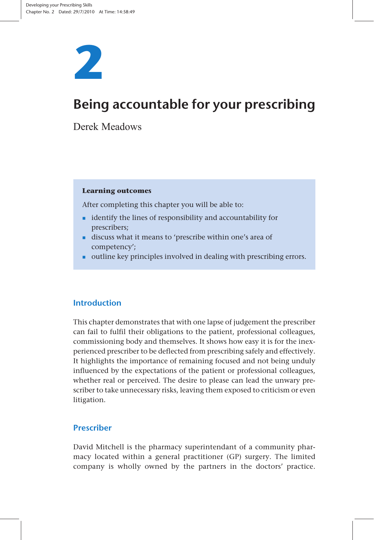

# Being accountable for your prescribing

Derek Meadows

#### **Learning outcomes** Learning outcomes

After completing this chapter you will be able to:

- & identify the lines of responsibility and accountability for prescribers;
- & discuss what it means to 'prescribe within one's area of competency';
- & outline key principles involved in dealing with prescribing errors.

### **Introduction**

This chapter demonstrates that with one lapse of judgement the prescriber can fail to fulfil their obligations to the patient, professional colleagues, commissioning body and themselves. It shows how easy it is for the inexperienced prescriber to be deflected from prescribing safely and effectively. It highlights the importance of remaining focused and not being unduly influenced by the expectations of the patient or professional colleagues, whether real or perceived. The desire to please can lead the unwary prescriber to take unnecessary risks, leaving them exposed to criticism or even litigation.

### Prescriber

David Mitchell is the pharmacy superintendant of a community pharmacy located within a general practitioner (GP) surgery. The limited company is wholly owned by the partners in the doctors' practice.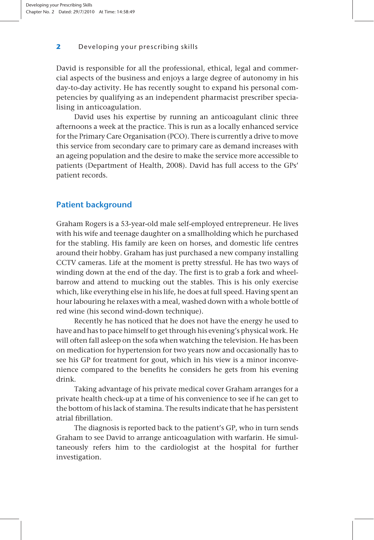David is responsible for all the professional, ethical, legal and commercial aspects of the business and enjoys a large degree of autonomy in his day-to-day activity. He has recently sought to expand his personal competencies by qualifying as an independent pharmacist prescriber specialising in anticoagulation.

David uses his expertise by running an anticoagulant clinic three afternoons a week at the practice. This is run as a locally enhanced service for the Primary Care Organisation (PCO). There is currently a drive to move this service from secondary care to primary care as demand increases with an ageing population and the desire to make the service more accessible to patients ([Department of Health, 2008](#page-13-0)). David has full access to the GPs' patient records.

## Patient background

Graham Rogers is a 53-year-old male self-employed entrepreneur. He lives with his wife and teenage daughter on a smallholding which he purchased for the stabling. His family are keen on horses, and domestic life centres around their hobby. Graham has just purchased a new company installing CCTV cameras. Life at the moment is pretty stressful. He has two ways of winding down at the end of the day. The first is to grab a fork and wheelbarrow and attend to mucking out the stables. This is his only exercise which, like everything else in his life, he does at full speed. Having spent an hour labouring he relaxes with a meal, washed down with a whole bottle of red wine (his second wind-down technique).

Recently he has noticed that he does not have the energy he used to have and has to pace himself to get through his evening's physical work. He will often fall asleep on the sofa when watching the television. He has been on medication for hypertension for two years now and occasionally has to see his GP for treatment for gout, which in his view is a minor inconvenience compared to the benefits he considers he gets from his evening drink.

Taking advantage of his private medical cover Graham arranges for a private health check-up at a time of his convenience to see if he can get to the bottom of his lack of stamina. The results indicate that he has persistent atrial fibrillation.

The diagnosis is reported back to the patient's GP, who in turn sends Graham to see David to arrange anticoagulation with warfarin. He simultaneously refers him to the cardiologist at the hospital for further investigation.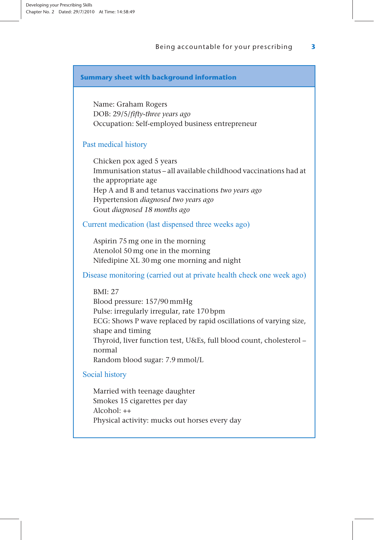#### Summary sheet with background information

Name: Graham Rogers DOB: 29/5/fifty-three years ago Occupation: Self-employed business entrepreneur

#### Past medical history

Chicken pox aged 5 years Immunisation status – all available childhood vaccinations had at the appropriate age Hep A and B and tetanus vaccinations two years ago Hypertension diagnosed two years ago Gout diagnosed 18 months ago

#### Current medication (last dispensed three weeks ago)

Aspirin 75 mg one in the morning Atenolol 50 mg one in the morning Nifedipine XL 30 mg one morning and night

Disease monitoring (carried out at private health check one week ago)

BMI: 27 Blood pressure: 157/90 mmHg Pulse: irregularly irregular, rate 170 bpm ECG: Shows P wave replaced by rapid oscillations of varying size, shape and timing Thyroid, liver function test, U&Es, full blood count, cholesterol – normal Random blood sugar: 7.9 mmol/L

#### Social history

Married with teenage daughter Smokes 15 cigarettes per day Alcohol: ++ Physical activity: mucks out horses every day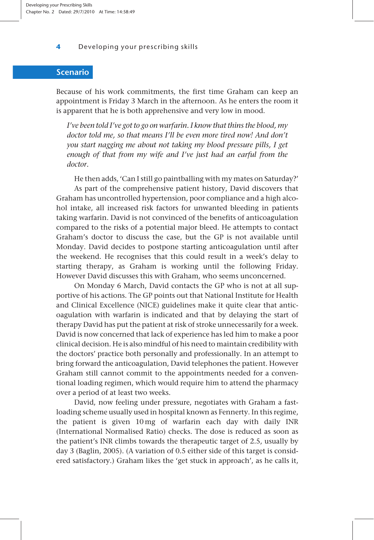## **Scenario**

Because of his work commitments, the first time Graham can keep an appointment is Friday 3 March in the afternoon. As he enters the room it is apparent that he is both apprehensive and very low in mood.

I've been told I've got to go on warfarin. I know that thins the blood, my doctor told me, so that means I'll be even more tired now! And don't you start nagging me about not taking my blood pressure pills, I get enough of that from my wife and I've just had an earful from the doctor.

He then adds, 'Can I still go paintballing with my mates on Saturday?' As part of the comprehensive patient history, David discovers that Graham has uncontrolled hypertension, poor compliance and a high alcohol intake, all increased risk factors for unwanted bleeding in patients taking warfarin. David is not convinced of the benefits of anticoagulation compared to the risks of a potential major bleed. He attempts to contact Graham's doctor to discuss the case, but the GP is not available until Monday. David decides to postpone starting anticoagulation until after the weekend. He recognises that this could result in a week's delay to starting therapy, as Graham is working until the following Friday. However David discusses this with Graham, who seems unconcerned.

On Monday 6 March, David contacts the GP who is not at all supportive of his actions. The GP points out that National Institute for Health and Clinical Excellence (NICE) guidelines make it quite clear that anticoagulation with warfarin is indicated and that by delaying the start of therapy David has put the patient at risk of stroke unnecessarily for a week. David is now concerned that lack of experience has led him to make a poor clinical decision. He is also mindful of his need to maintain credibility with the doctors' practice both personally and professionally. In an attempt to bring forward the anticoagulation, David telephones the patient. However Graham still cannot commit to the appointments needed for a conventional loading regimen, which would require him to attend the pharmacy over a period of at least two weeks.

David, now feeling under pressure, negotiates with Graham a fastloading scheme usually used in hospital known as Fennerty. In this regime, the patient is given 10 mg of warfarin each day with daily INR (International Normalised Ratio) checks. The dose is reduced as soon as the patient's INR climbs towards the therapeutic target of 2.5, usually by day 3 (Baglin, 2005). (A variation of 0.5 either side of this target is considered satisfactory.) Graham likes the 'get stuck in approach', as he calls it,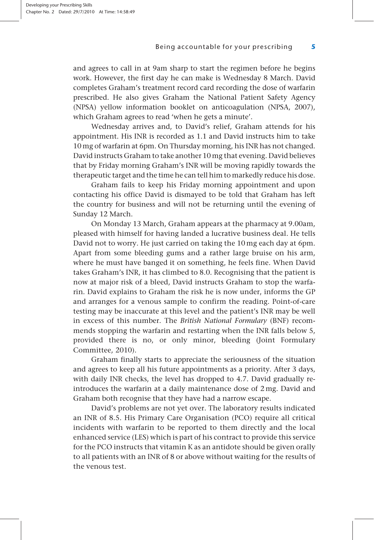and agrees to call in at 9am sharp to start the regimen before he begins work. However, the first day he can make is Wednesday 8 March. David completes Graham's treatment record card recording the dose of warfarin prescribed. He also gives Graham the National Patient Safety Agency (NPSA) yellow information booklet on anticoagulation ([NPSA, 2007\)](#page-13-0), which Graham agrees to read 'when he gets a minute'.

Wednesday arrives and, to David's relief, Graham attends for his appointment. His INR is recorded as 1.1 and David instructs him to take 10 mg of warfarin at 6pm. On Thursday morning, his INR has not changed. David instructs Graham to take another 10 mg that evening. David believes that by Friday morning Graham's INR will be moving rapidly towards the therapeutic target and the time he can tell him to markedly reduce his dose.

Graham fails to keep his Friday morning appointment and upon contacting his office David is dismayed to be told that Graham has left the country for business and will not be returning until the evening of Sunday 12 March.

On Monday 13 March, Graham appears at the pharmacy at 9.00am, pleased with himself for having landed a lucrative business deal. He tells David not to worry. He just carried on taking the 10 mg each day at 6pm. Apart from some bleeding gums and a rather large bruise on his arm, where he must have banged it on something, he feels fine. When David takes Graham's INR, it has climbed to 8.0. Recognising that the patient is now at major risk of a bleed, David instructs Graham to stop the warfarin. David explains to Graham the risk he is now under, informs the GP and arranges for a venous sample to confirm the reading. Point-of-care testing may be inaccurate at this level and the patient's INR may be well in excess of this number. The British National Formulary (BNF) recommends stopping the warfarin and restarting when the INR falls below 5, provided there is no, or only minor, bleeding [\(Joint Formulary](#page-13-0) [Committee, 2010](#page-13-0)).

Graham finally starts to appreciate the seriousness of the situation and agrees to keep all his future appointments as a priority. After 3 days, with daily INR checks, the level has dropped to 4.7. David gradually reintroduces the warfarin at a daily maintenance dose of 2 mg. David and Graham both recognise that they have had a narrow escape.

David's problems are not yet over. The laboratory results indicated an INR of 8.5. His Primary Care Organisation (PCO) require all critical incidents with warfarin to be reported to them directly and the local enhanced service (LES) which is part of his contract to provide this service for the PCO instructs that vitamin K as an antidote should be given orally to all patients with an INR of 8 or above without waiting for the results of the venous test.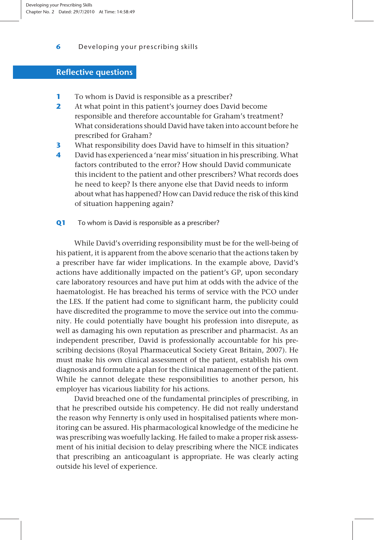## Reflective questions

- 1 To whom is David is responsible as a prescriber?
- 2 At what point in this patient's journey does David become responsible and therefore accountable for Graham's treatment? What considerations should David have taken into account before he prescribed for Graham?
- **3** What responsibility does David have to himself in this situation?
- 4 David has experienced a 'near miss' situation in his prescribing. What factors contributed to the error? How should David communicate this incident to the patient and other prescribers? What records does he need to keep? Is there anyone else that David needs to inform about what has happened? How can David reduce the risk of this kind of situation happening again?
- **Q1** To whom is David is responsible as a prescriber?

While David's overriding responsibility must be for the well-being of his patient, it is apparent from the above scenario that the actions taken by a prescriber have far wider implications. In the example above, David's actions have additionally impacted on the patient's GP, upon secondary care laboratory resources and have put him at odds with the advice of the haematologist. He has breached his terms of service with the PCO under the LES. If the patient had come to significant harm, the publicity could have discredited the programme to move the service out into the community. He could potentially have bought his profession into disrepute, as well as damaging his own reputation as prescriber and pharmacist. As an independent prescriber, David is professionally accountable for his prescribing decisions ([Royal Pharmaceutical Society Great Britain, 2007\)](#page-13-0). He must make his own clinical assessment of the patient, establish his own diagnosis and formulate a plan for the clinical management of the patient. While he cannot delegate these responsibilities to another person, his employer has vicarious liability for his actions.

David breached one of the fundamental principles of prescribing, in that he prescribed outside his competency. He did not really understand the reason why Fennerty is only used in hospitalised patients where monitoring can be assured. His pharmacological knowledge of the medicine he was prescribing was woefully lacking. He failed to make a proper risk assessment of his initial decision to delay prescribing where the NICE indicates that prescribing an anticoagulant is appropriate. He was clearly acting outside his level of experience.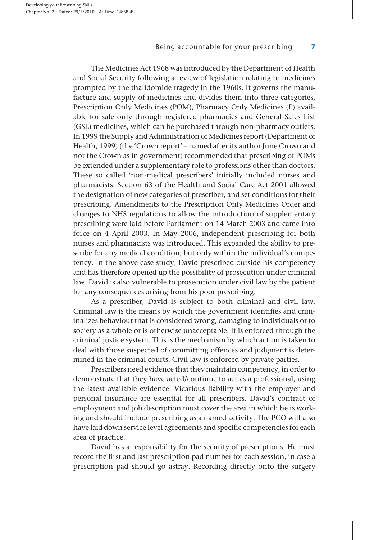The Medicines Act 1968 was introduced by the Department of Health and Social Security following a review of legislation relating to medicines prompted by the thalidomide tragedy in the 1960s. It governs the manufacture and supply of medicines and divides them into three categories, Prescription Only Medicines (POM), Pharmacy Only Medicines (P) available for sale only through registered pharmacies and General Sales List (GSL) medicines, which can be purchased through non-pharmacy outlets. In 1999 the Supply and Administration of Medicines report ([Department of](#page-13-0) [Health, 1999\)](#page-13-0) (the 'Crown report' – named after its author June Crown and not the Crown as in government) recommended that prescribing of POMs be extended under a supplementary role to professions other than doctors. These so called 'non-medical prescribers' initially included nurses and pharmacists. Section 63 of the Health and Social Care Act 2001 allowed the designation of new categories of prescriber, and set conditions for their prescribing. Amendments to the Prescription Only Medicines Order and changes to NHS regulations to allow the introduction of supplementary prescribing were laid before Parliament on 14 March 2003 and came into force on 4 April 2003. In May 2006, independent prescribing for both nurses and pharmacists was introduced. This expanded the ability to prescribe for any medical condition, but only within the individual's competency. In the above case study, David prescribed outside his competency and has therefore opened up the possibility of prosecution under criminal law. David is also vulnerable to prosecution under civil law by the patient for any consequences arising from his poor prescribing.

As a prescriber, David is subject to both criminal and civil law. Criminal law is the means by which the government identifies and criminalizes behaviour that is considered wrong, damaging to individuals or to society as a whole or is otherwise unacceptable. It is enforced through the criminal justice system. This is the mechanism by which action is taken to deal with those suspected of committing offences and judgment is determined in the criminal courts. Civil law is enforced by private parties.

Prescribers need evidence that they maintain competency, in order to demonstrate that they have acted/continue to act as a professional, using the latest available evidence. Vicarious liability with the employer and personal insurance are essential for all prescribers. David's contract of employment and job description must cover the area in which he is working and should include prescribing as a named activity. The PCO will also have laid down service level agreements and specific competencies for each area of practice.

David has a responsibility for the security of prescriptions. He must record the first and last prescription pad number for each session, in case a prescription pad should go astray. Recording directly onto the surgery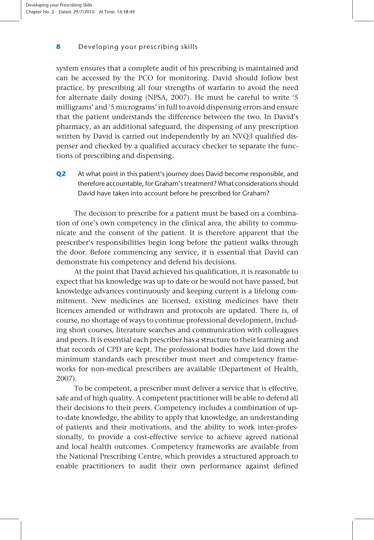system ensures that a complete audit of his prescribing is maintained and can be accessed by the PCO for monitoring. David should follow best practice, by prescribing all four strengths of warfarin to avoid the need for alternate daily dosing [\(NPSA, 2007\)](#page-13-0). He must be careful to write '5 milligrams' and '5 micrograms' in full to avoid dispensing errors and ensure that the patient understands the difference between the two. In David's pharmacy, as an additional safeguard, the dispensing of any prescription written by David is carried out independently by an NVQ3 qualified dispenser and checked by a qualified accuracy checker to separate the functions of prescribing and dispensing.

Q2 At what point in this patient's journey does David become responsible, and therefore accountable, for Graham's treatment? What considerations should David have taken into account before he prescribed for Graham?

The decision to prescribe for a patient must be based on a combination of one's own competency in the clinical area, the ability to communicate and the consent of the patient. It is therefore apparent that the prescriber's responsibilities begin long before the patient walks through the door. Before commencing any service, it is essential that David can demonstrate his competency and defend his decisions.

At the point that David achieved his qualification, it is reasonable to expect that his knowledge was up to date or he would not have passed, but knowledge advances continuously and keeping current is a lifelong commitment. New medicines are licensed, existing medicines have their licences amended or withdrawn and protocols are updated. There is, of course, no shortage of ways to continue professional development, including short courses, literature searches and communication with colleagues and peers. It is essential each prescriber has a structure to their learning and that records of CPD are kept. The professional bodies have laid down the minimum standards each prescriber must meet and competency frameworks for non-medical prescribers are available [\(Department of Health,](#page-13-0) [2007\)](#page-13-0).

To be competent, a prescriber must deliver a service that is effective, safe and of high quality. A competent practitioner will be able to defend all their decisions to their peers. Competency includes a combination of upto-date knowledge, the ability to apply that knowledge, an understanding of patients and their motivations, and the ability to work inter-professionally, to provide a cost-effective service to achieve agreed national and local health outcomes. Competency frameworks are available from the National Prescribing Centre, which provides a structured approach to enable practitioners to audit their own performance against defined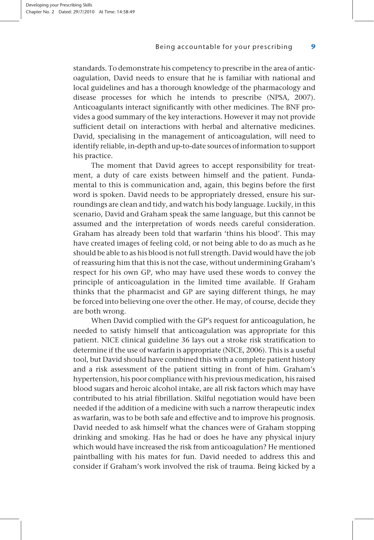standards. To demonstrate his competency to prescribe in the area of anticoagulation, David needs to ensure that he is familiar with national and local guidelines and has a thorough knowledge of the pharmacology and disease processes for which he intends to prescribe [\(NPSA, 2007\)](#page-13-0). Anticoagulants interact significantly with other medicines. The BNF provides a good summary of the key interactions. However it may not provide sufficient detail on interactions with herbal and alternative medicines. David, specialising in the management of anticoagulation, will need to identify reliable, in-depth and up-to-date sources of information to support his practice.

The moment that David agrees to accept responsibility for treatment, a duty of care exists between himself and the patient. Fundamental to this is communication and, again, this begins before the first word is spoken. David needs to be appropriately dressed, ensure his surroundings are clean and tidy, and watch his body language. Luckily, in this scenario, David and Graham speak the same language, but this cannot be assumed and the interpretation of words needs careful consideration. Graham has already been told that warfarin 'thins his blood'. This may have created images of feeling cold, or not being able to do as much as he should be able to as his blood is not full strength. David would have the job of reassuring him that this is not the case, without undermining Graham's respect for his own GP, who may have used these words to convey the principle of anticoagulation in the limited time available. If Graham thinks that the pharmacist and GP are saying different things, he may be forced into believing one over the other. He may, of course, decide they are both wrong.

When David complied with the GP's request for anticoagulation, he needed to satisfy himself that anticoagulation was appropriate for this patient. NICE clinical guideline 36 lays out a stroke risk stratification to determine if the use of warfarin is appropriate [\(NICE, 2006\)](#page-13-0). This is a useful tool, but David should have combined this with a complete patient history and a risk assessment of the patient sitting in front of him. Graham's hypertension, his poor compliance with his previous medication, his raised blood sugars and heroic alcohol intake, are all risk factors which may have contributed to his atrial fibrillation. Skilful negotiation would have been needed if the addition of a medicine with such a narrow therapeutic index as warfarin, was to be both safe and effective and to improve his prognosis. David needed to ask himself what the chances were of Graham stopping drinking and smoking. Has he had or does he have any physical injury which would have increased the risk from anticoagulation? He mentioned paintballing with his mates for fun. David needed to address this and consider if Graham's work involved the risk of trauma. Being kicked by a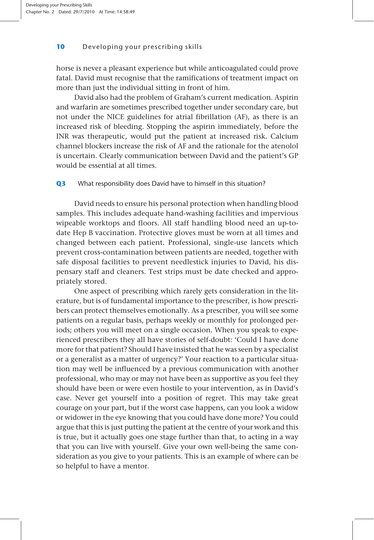horse is never a pleasant experience but while anticoagulated could prove fatal. David must recognise that the ramifications of treatment impact on more than just the individual sitting in front of him.

David also had the problem of Graham's current medication. Aspirin and warfarin are sometimes prescribed together under secondary care, but not under the NICE guidelines for atrial fibrillation (AF), as there is an increased risk of bleeding. Stopping the aspirin immediately, before the INR was therapeutic, would put the patient at increased risk. Calcium channel blockers increase the risk of AF and the rationale for the atenolol is uncertain. Clearly communication between David and the patient's GP would be essential at all times.

#### Q3 What responsibility does David have to himself in this situation?

David needs to ensure his personal protection when handling blood samples. This includes adequate hand-washing facilities and impervious wipeable worktops and floors. All staff handling blood need an up-todate Hep B vaccination. Protective gloves must be worn at all times and changed between each patient. Professional, single-use lancets which prevent cross-contamination between patients are needed, together with safe disposal facilities to prevent needlestick injuries to David, his dispensary staff and cleaners. Test strips must be date checked and appropriately stored.

One aspect of prescribing which rarely gets consideration in the literature, but is of fundamental importance to the prescriber, is how prescribers can protect themselves emotionally. As a prescriber, you will see some patients on a regular basis, perhaps weekly or monthly for prolonged periods; others you will meet on a single occasion. When you speak to experienced prescribers they all have stories of self-doubt: 'Could I have done more for that patient? Should I have insisted that he was seen by a specialist or a generalist as a matter of urgency?' Your reaction to a particular situation may well be influenced by a previous communication with another professional, who may or may not have been as supportive as you feel they should have been or were even hostile to your intervention, as in David's case. Never get yourself into a position of regret. This may take great courage on your part, but if the worst case happens, can you look a widow or widower in the eye knowing that you could have done more? You could argue that this is just putting the patient at the centre of your work and this is true, but it actually goes one stage further than that, to acting in a way that you can live with yourself. Give your own well-being the same consideration as you give to your patients. This is an example of where can be so helpful to have a mentor.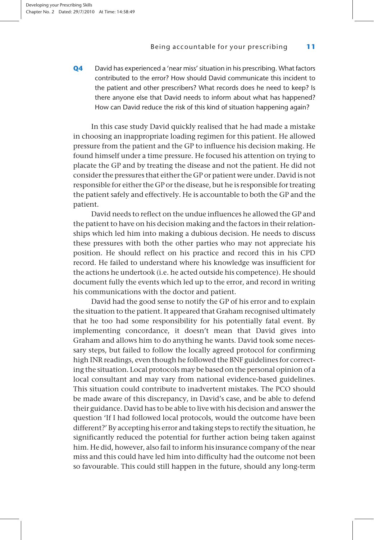Q4 David has experienced a 'near miss' situation in his prescribing. What factors contributed to the error? How should David communicate this incident to the patient and other prescribers? What records does he need to keep? Is there anyone else that David needs to inform about what has happened? How can David reduce the risk of this kind of situation happening again?

In this case study David quickly realised that he had made a mistake in choosing an inappropriate loading regimen for this patient. He allowed pressure from the patient and the GP to influence his decision making. He found himself under a time pressure. He focused his attention on trying to placate the GP and by treating the disease and not the patient. He did not consider the pressures that either the GP or patient were under. David is not responsible for either the GP or the disease, but he is responsible for treating the patient safely and effectively. He is accountable to both the GP and the patient.

David needs to reflect on the undue influences he allowed the GP and the patient to have on his decision making and the factors in their relationships which led him into making a dubious decision. He needs to discuss these pressures with both the other parties who may not appreciate his position. He should reflect on his practice and record this in his CPD record. He failed to understand where his knowledge was insufficient for the actions he undertook (i.e. he acted outside his competence). He should document fully the events which led up to the error, and record in writing his communications with the doctor and patient.

David had the good sense to notify the GP of his error and to explain the situation to the patient. It appeared that Graham recognised ultimately that he too had some responsibility for his potentially fatal event. By implementing concordance, it doesn't mean that David gives into Graham and allows him to do anything he wants. David took some necessary steps, but failed to follow the locally agreed protocol for confirming high INR readings, even though he followed the BNF guidelines for correcting the situation. Local protocols may be based on the personal opinion of a local consultant and may vary from national evidence-based guidelines. This situation could contribute to inadvertent mistakes. The PCO should be made aware of this discrepancy, in David's case, and be able to defend their guidance. David has to be able to live with his decision and answer the question 'If I had followed local protocols, would the outcome have been different?' By accepting his error and taking steps to rectify the situation, he significantly reduced the potential for further action being taken against him. He did, however, also fail to inform his insurance company of the near miss and this could have led him into difficulty had the outcome not been so favourable. This could still happen in the future, should any long-term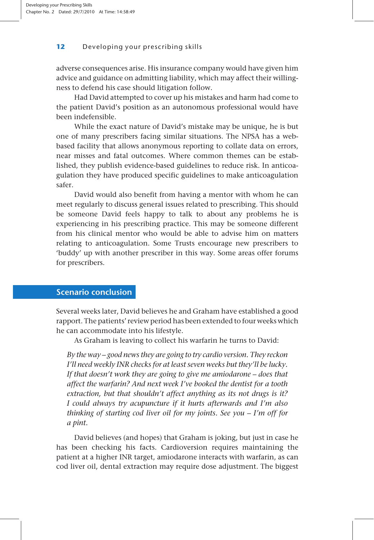adverse consequences arise. His insurance company would have given him advice and guidance on admitting liability, which may affect their willingness to defend his case should litigation follow.

Had David attempted to cover up his mistakes and harm had come to the patient David's position as an autonomous professional would have been indefensible.

While the exact nature of David's mistake may be unique, he is but one of many prescribers facing similar situations. The NPSA has a webbased facility that allows anonymous reporting to collate data on errors, near misses and fatal outcomes. Where common themes can be established, they publish evidence-based guidelines to reduce risk. In anticoagulation they have produced specific guidelines to make anticoagulation safer.

David would also benefit from having a mentor with whom he can meet regularly to discuss general issues related to prescribing. This should be someone David feels happy to talk to about any problems he is experiencing in his prescribing practice. This may be someone different from his clinical mentor who would be able to advise him on matters relating to anticoagulation. Some Trusts encourage new prescribers to 'buddy' up with another prescriber in this way. Some areas offer forums for prescribers.

## Scenario conclusion

Several weeks later, David believes he and Graham have established a good rapport. The patients' review period has been extended to four weeks which he can accommodate into his lifestyle.

As Graham is leaving to collect his warfarin he turns to David:

By the way – good news they are going to try cardio version. They reckon I'll need weekly INR checks for at least seven weeks but they'll be lucky. If that doesn't work they are going to give me amiodarone – does that affect the warfarin? And next week I've booked the dentist for a tooth extraction, but that shouldn't affect anything as its not drugs is it? I could always try acupuncture if it hurts afterwards and I'm also thinking of starting cod liver oil for my joints. See you – I'm off for a pint.

David believes (and hopes) that Graham is joking, but just in case he has been checking his facts. Cardioversion requires maintaining the patient at a higher INR target, amiodarone interacts with warfarin, as can cod liver oil, dental extraction may require dose adjustment. The biggest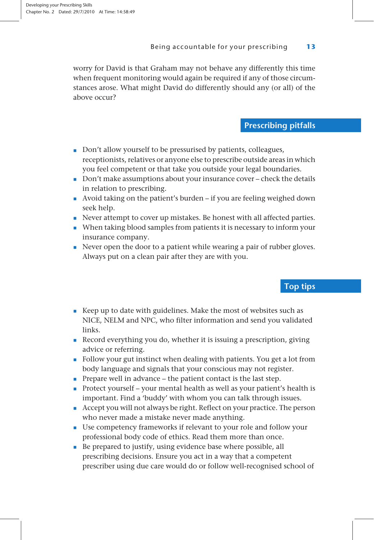worry for David is that Graham may not behave any differently this time when frequent monitoring would again be required if any of those circumstances arose. What might David do differently should any (or all) of the above occur?

Prescribing pitfalls

- Don't allow yourself to be pressurised by patients, colleagues, receptionists, relatives or anyone else to prescribe outside areas in which you feel competent or that take you outside your legal boundaries.
- Don't make assumptions about your insurance cover check the details in relation to prescribing.
- $\blacksquare$  Avoid taking on the patient's burden if you are feeling weighed down seek help.
- Never attempt to cover up mistakes. Be honest with all affected parties.
- When taking blood samples from patients it is necessary to inform your insurance company.
- Never open the door to a patient while wearing a pair of rubber gloves. Always put on a clean pair after they are with you.

## Top tips

- Keep up to date with guidelines. Make the most of websites such as NICE, NELM and NPC, who filter information and send you validated links.
- & Record everything you do, whether it is issuing a prescription, giving advice or referring.
- Follow your gut instinct when dealing with patients. You get a lot from body language and signals that your conscious may not register.
- Prepare well in advance the patient contact is the last step.
- Protect yourself your mental health as well as your patient's health is important. Find a 'buddy' with whom you can talk through issues.
- & Accept you will not always be right. Reflect on your practice. The person who never made a mistake never made anything.
- & Use competency frameworks if relevant to your role and follow your professional body code of ethics. Read them more than once.
- Be prepared to justify, using evidence base where possible, all prescribing decisions. Ensure you act in a way that a competent prescriber using due care would do or follow well-recognised school of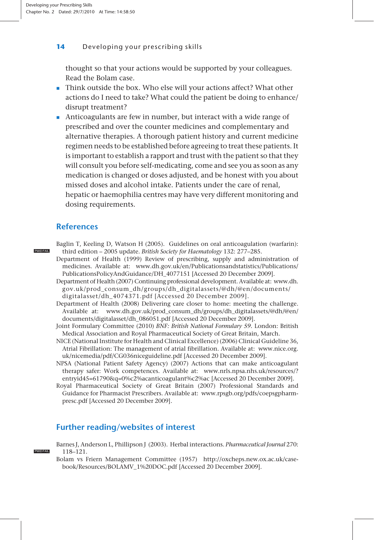<span id="page-13-0"></span>thought so that your actions would be supported by your colleagues. Read the Bolam case.

- Think outside the box. Who else will your actions affect? What other actions do I need to take? What could the patient be doing to enhance/ disrupt treatment?
- Anticoagulants are few in number, but interact with a wide range of prescribed and over the counter medicines and complementary and alternative therapies. A thorough patient history and current medicine regimen needs to be established before agreeing to treat these patients. It is important to establish a rapport and trust with the patient so that they will consult you before self-medicating, come and see you as soon as any medication is changed or doses adjusted, and be honest with you about missed doses and alcohol intake. Patients under the care of renal, hepatic or haemophilia centres may have very different monitoring and dosing requirements.

### **References**

- Baglin T, Keeling D, Watson H (2005). Guidelines on oral anticoagulation (warfarin): **PMIDFAIL** third edition – 2005 update. British Society for Haematology 132: 277–285.
	- Department of Health (1999) Review of prescribing, supply and administration of medicines. Available at: www.dh.gov.uk/en/Publicationsandstatistics/Publications/ PublicationsPolicyAndGuidance/DH\_4077151 [Accessed 20 December 2009].
	- Department of Health (2007) Continuing professional development. Available at: www.dh. gov.uk/prod\_consum\_dh/groups/dh\_digitalassets/@dh/@en/documents/ digitalasset/dh\_4074371.pdf [Accessed 20 December 2009].
	- Department of Health (2008) Delivering care closer to home: meeting the challenge. Available at: www.dh.gov.uk/prod\_consum\_dh/groups/dh\_digitalassets/@dh/@en/ documents/digitalasset/dh\_086051.pdf [Accessed 20 December 2009].
	- Joint Formulary Committee (2010) BNF: British National Formulary 59. London: British Medical Association and Royal Pharmaceutical Society of Great Britain, March.
	- NICE (National Institute for Health and Clinical Excellence) (2006) Clinical Guideline 36, Atrial Fibrillation: The management of atrial fibrillation. Available at: www.nice.org. uk/nicemedia/pdf/CG036niceguideline.pdf [Accessed 20 December 2009].
	- NPSA (National Patient Safety Agency) (2007) Actions that can make anticoagulant therapy safer: Work competences. Available at: www.nrls.npsa.nhs.uk/resources/? entryid45=61790&q=0%c2%acanticoagulant%c2%ac [Accessed 20 December 2009].
	- Royal Pharmaceutical Society of Great Britain (2007) Professional Standards and Guidance for Pharmacist Prescribers. Available at: www.rpsgb.org/pdfs/coepsgpharmpresc.pdf [Accessed 20 December 2009].

### Further reading/websites of interest

Barnes J, Anderson L, Phillipson J (2003). Herbal interactions. Pharmaceutical Journal 270: PMID FAIL 118-121.

Bolam vs Friern Management Committee (1957) http://oxcheps.new.ox.ac.uk/casebook/Resources/BOLAMV\_1%20DOC.pdf [Accessed 20 December 2009].